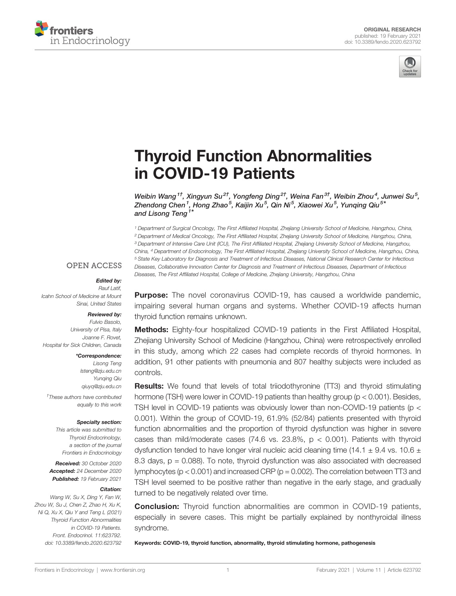



# [Thyroid Function Abnormalities](https://www.frontiersin.org/articles/10.3389/fendo.2020.623792/full) [in COVID-19 Patients](https://www.frontiersin.org/articles/10.3389/fendo.2020.623792/full)

Weibin Wang $^{1\dagger}$ , Xingyun Su $^{2\dagger}$ , Yongfeng Ding $^{2\dagger}$ , Weina Fan $^{3\dagger}$ , Weibin Zhou $^4$ , Junwei Su $^5$ , Zhendong Chen $^1$ , Hong Zhao $^5$ , Kaijin Xu $^5$ , Qin Ni $^5$ , Xiaowei Xu $^5$ , Yunqing Qiu $^{5^{\ast}}$ and Lisong Teng<sup>1\*</sup>

<sup>1</sup> Department of Surgical Oncology, The First Affiliated Hospital, Zhejiang University School of Medicine, Hangzhou, China, <sup>2</sup> Department of Medical Oncology, The First Affiliated Hospital, Zhejiang University School of Medicine, Hangzhou, China, <sup>3</sup> Department of Intensive Care Unit (ICU), The First Affiliated Hospital, Zhejiang University School of Medicine, Hangzhou, China, <sup>4</sup> Department of Endocrinology, The First Affiliated Hospital, Zhejiang University School of Medicine, Hangzhou, China, <sup>5</sup> State Key Laboratory for Diagnosis and Treatment of Infectious Diseases, National Clinical Research Center for Infectious Diseases, Collaborative Innovation Center for Diagnosis and Treatment of Infectious Diseases, Department of Infectious Diseases, The First Affiliated Hospital, College of Medicine, Zhejiang University, Hangzhou, China

#### **OPEN ACCESS**

#### Edited by:

Rauf Latif, Icahn School of Medicine at Mount Sinai, United States

#### Reviewed by:

Fulvio Basolo, University of Pisa, Italy Joanne F. Rovet, Hospital for Sick Children, Canada

#### \*Correspondence:

Lisong Teng [lsteng@zju.edu.cn](mailto:lsteng@zju.edu.cn) Yunqing Qiu [qiuyq@zju.edu.cn](mailto:qiuyq@zju.edu.cn) † These authors have contributed equally to this work

#### Specialty section:

This article was submitted to Thyroid Endocrinology, a section of the journal Frontiers in Endocrinology

Received: 30 October 2020 Accepted: 24 December 2020 Published: 19 February 2021

#### Citation:

Wang W, Su X, Ding Y, Fan W, Zhou W, Su J, Chen Z, Zhao H, Xu K, Ni Q, Xu X, Qiu Y and Teng L (2021) Thyroid Function Abnormalities in COVID-19 Patients. Front. Endocrinol. 11:623792. [doi: 10.3389/fendo.2020.623792](https://doi.org/10.3389/fendo.2020.623792)

**Purpose:** The novel coronavirus COVID-19, has caused a worldwide pandemic, impairing several human organs and systems. Whether COVID-19 affects human thyroid function remains unknown.

**Methods:** Eighty-four hospitalized COVID-19 patients in the First Affiliated Hospital, Zhejiang University School of Medicine (Hangzhou, China) were retrospectively enrolled in this study, among which 22 cases had complete records of thyroid hormones. In addition, 91 other patients with pneumonia and 807 healthy subjects were included as controls.

Results: We found that levels of total triiodothyronine (TT3) and thyroid stimulating hormone (TSH) were lower in COVID-19 patients than healthy group (p < 0.001). Besides, TSH level in COVID-19 patients was obviously lower than non-COVID-19 patients (p < 0.001). Within the group of COVID-19, 61.9% (52/84) patients presented with thyroid function abnormalities and the proportion of thyroid dysfunction was higher in severe cases than mild/moderate cases  $(74.6 \text{ vs. } 23.8\% , p < 0.001)$ . Patients with thyroid dysfunction tended to have longer viral nucleic acid cleaning time (14.1  $\pm$  9.4 vs. 10.6  $\pm$ 8.3 days,  $p = 0.088$ ). To note, thyroid dysfunction was also associated with decreased lymphocytes ( $p < 0.001$ ) and increased CRP ( $p = 0.002$ ). The correlation between TT3 and TSH level seemed to be positive rather than negative in the early stage, and gradually turned to be negatively related over time.

Conclusion: Thyroid function abnormalities are common in COVID-19 patients, especially in severe cases. This might be partially explained by nonthyroidal illness syndrome.

Keywords: COVID-19, thyroid function, abnormality, thyroid stimulating hormone, pathogenesis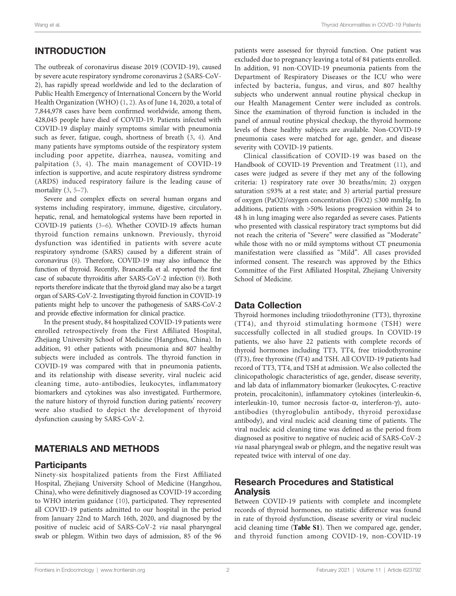# INTRODUCTION

The outbreak of coronavirus disease 2019 (COVID-19), caused by severe acute respiratory syndrome coronavirus 2 (SARS-CoV-2), has rapidly spread worldwide and led to the declaration of Public Health Emergency of International Concern by the World Health Organization (WHO) [\(1,](#page-6-0) [2](#page-6-0)). As of June 14, 2020, a total of 7,844,978 cases have been confirmed worldwide, among them, 428,045 people have died of COVID-19. Patients infected with COVID-19 display mainly symptoms similar with pneumonia such as fever, fatigue, cough, shortness of breath ([3](#page-6-0), [4\)](#page-6-0). And many patients have symptoms outside of the respiratory system including poor appetite, diarrhea, nausea, vomiting and palpitation ([3,](#page-6-0) [4\)](#page-6-0). The main management of COVID-19 infection is supportive, and acute respiratory distress syndrome (ARDS) induced respiratory failure is the leading cause of mortality ([3](#page-6-0), [5](#page-6-0)–[7\)](#page-6-0).

Severe and complex effects on several human organs and systems including respiratory, immune, digestive, circulatory, hepatic, renal, and hematological systems have been reported in COVID-19 patients [\(3](#page-6-0)–[6\)](#page-6-0). Whether COVID-19 affects human thyroid function remains unknown. Previously, thyroid dysfunction was identified in patients with severe acute respiratory syndrome (SARS) caused by a different strain of coronavirus ([8](#page-6-0)). Therefore, COVID-19 may also influence the function of thyroid. Recently, Brancatella et al. reported the first case of subacute thyroiditis after SARS-CoV-2 infection [\(9](#page-6-0)). Both reports therefore indicate that the thyroid gland may also be a target organ of SARS-CoV-2. Investigating thyroid function in COVID-19 patients might help to uncover the pathogenesis of SARS-CoV-2 and provide effective information for clinical practice.

In the present study, 84 hospitalized COVID-19 patients were enrolled retrospectively from the First Affiliated Hospital, Zhejiang University School of Medicine (Hangzhou, China). In addition, 91 other patients with pneumonia and 807 healthy subjects were included as controls. The thyroid function in COVID-19 was compared with that in pneumonia patients, and its relationship with disease severity, viral nucleic acid cleaning time, auto-antibodies, leukocytes, inflammatory biomarkers and cytokines was also investigated. Furthermore, the nature history of thyroid function during patients' recovery were also studied to depict the development of thyroid dysfunction causing by SARS-CoV-2.

# MATERIALS AND METHODS

## **Participants**

Ninety-six hospitalized patients from the First Affiliated Hospital, Zhejiang University School of Medicine (Hangzhou, China), who were definitively diagnosed as COVID-19 according to WHO interim guidance [\(10\)](#page-6-0), participated. They represented all COVID-19 patients admitted to our hospital in the period from January 22nd to March 16th, 2020, and diagnosed by the positive of nucleic acid of SARS-CoV-2 via nasal pharyngeal swab or phlegm. Within two days of admission, 85 of the 96

patients were assessed for thyroid function. One patient was excluded due to pregnancy leaving a total of 84 patients enrolled. In addition, 91 non-COVID-19 pneumonia patients from the Department of Respiratory Diseases or the ICU who were infected by bacteria, fungus, and virus, and 807 healthy subjects who underwent annual routine physical checkup in our Health Management Center were included as controls. Since the examination of thyroid function is included in the panel of annual routine physical checkup, the thyroid hormone levels of these healthy subjects are available. Non-COVID-19 pneumonia cases were matched for age, gender, and disease severity with COVID-19 patients.

Clinical classification of COVID-19 was based on the Handbook of COVID-19 Prevention and Treatment ([11\)](#page-6-0), and cases were judged as severe if they met any of the following criteria: 1) respiratory rate over 30 breaths/min; 2) oxygen saturation ≤93% at a rest state; and 3) arterial partial pressure of oxygen (PaO2)/oxygen concentration (FiO2) ≤300 mmHg. In additions, patients with >50% lesions progression within 24 to 48 h in lung imaging were also regarded as severe cases. Patients who presented with classical respiratory tract symptoms but did not reach the criteria of "Severe" were classified as "Moderate" while those with no or mild symptoms without CT pneumonia manifestation were classified as "Mild". All cases provided informed consent. The research was approved by the Ethics Committee of the First Affiliated Hospital, Zhejiang University School of Medicine.

# Data Collection

Thyroid hormones including triiodothyronine (TT3), thyroxine (TT4), and thyroid stimulating hormone (TSH) were successfully collected in all studied groups. In COVID-19 patients, we also have 22 patients with complete records of thyroid hormones including TT3, TT4, free triiodothyronine (fT3), free thyroxine (fT4) and TSH. All COVID-19 patients had record of TT3, TT4, and TSH at admission. We also collected the clinicopathologic characteristics of age, gender, disease severity, and lab data of inflammatory biomarker (leukocytes, C-reactive protein, procalcitonin), inflammatory cytokines (interleukin-6, interleukin-10, tumor necrosis factor- $\alpha$ , interferon- $\gamma$ ), autoantibodies (thyroglobulin antibody, thyroid peroxidase antibody), and viral nucleic acid cleaning time of patients. The viral nucleic acid cleaning time was defined as the period from diagnosed as positive to negative of nucleic acid of SARS-CoV-2 via nasal pharyngeal swab or phlegm, and the negative result was repeated twice with interval of one day.

## Research Procedures and Statistical Analysis

Between COVID-19 patients with complete and incomplete records of thyroid hormones, no statistic difference was found in rate of thyroid dysfunction, disease severity or viral nucleic acid cleaning time ([Table S1](#page-6-0)). Then we compared age, gender, and thyroid function among COVID-19, non-COVID-19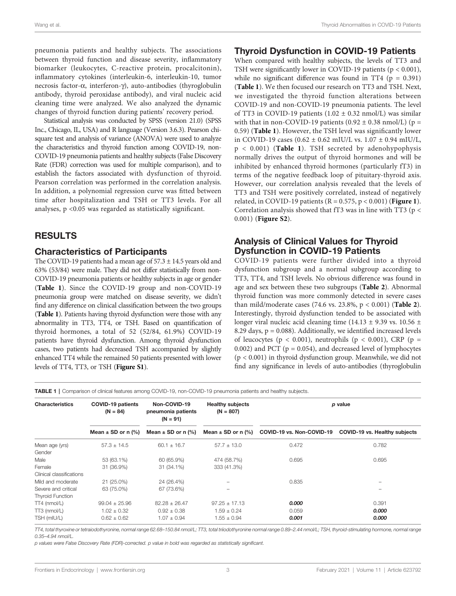pneumonia patients and healthy subjects. The associations between thyroid function and disease severity, inflammatory biomarker (leukocytes, C-reactive protein, procalcitonin), inflammatory cytokines (interleukin-6, interleukin-10, tumor necrosis factor-a, interferon-g), auto-antibodies (thyroglobulin antibody, thyroid peroxidase antibody), and viral nucleic acid cleaning time were analyzed. We also analyzed the dynamic changes of thyroid function during patients' recovery period.

Statistical analysis was conducted by SPSS (version 21.0) (SPSS Inc., Chicago, IL, USA) and R language (Version 3.6.3). Pearson chisquare test and analysis of variance (ANOVA) were used to analyze the characteristics and thyroid function among COVID-19, non-COVID-19 pneumonia patients and healthy subjects (False Discovery Rate (FDR) correction was used for multiple comparison), and to establish the factors associated with dysfunction of thyroid. Pearson correlation was performed in the correlation analysis. In addition, a polynomial regression curve was fitted between time after hospitalization and TSH or TT3 levels. For all analyses, p <0.05 was regarded as statistically significant.

## RESULTS

## Characteristics of Participants

The COVID-19 patients had a mean age of  $57.3 \pm 14.5$  years old and 63% (53/84) were male. They did not differ statistically from non-COVID-19 pneumonia patients or healthy subjects in age or gender (Table 1). Since the COVID-19 group and non-COVID-19 pneumonia group were matched on disease severity, we didn't find any difference on clinical classification between the two groups (Table 1). Patients having thyroid dysfunction were those with any abnormality in TT3, TT4, or TSH. Based on quantification of thyroid hormones, a total of 52 (52/84, 61.9%) COVID-19 patients have thyroid dysfunction. Among thyroid dysfunction cases, two patients had decreased TSH accompanied by slightly enhanced TT4 while the remained 50 patients presented with lower levels of TT4, TT3, or TSH (**Figure S1**).

#### Thyroid Dysfunction in COVID-19 Patients

When compared with healthy subjects, the levels of TT3 and TSH were significantly lower in COVID-19 patients ( $p < 0.001$ ), while no significant difference was found in TT4 ( $p = 0.391$ ) (Table 1). We then focused our research on TT3 and TSH. Next, we investigated the thyroid function alterations between COVID-19 and non-COVID-19 pneumonia patients. The level of TT3 in COVID-19 patients (1.02  $\pm$  0.32 nmol/L) was similar with that in non-COVID-19 patients (0.92  $\pm$  0.38 nmol/L) (p = 0.59) (Table 1). However, the TSH level was significantly lower in COVID-19 cases  $(0.62 \pm 0.62 \text{ mIU/L vs. } 1.07 \pm 0.94 \text{ mIU/L},$  $p < 0.001$ ) (Table 1). TSH secreted by adenohypophysis normally drives the output of thyroid hormones and will be inhibited by enhanced thyroid hormones (particularly fT3) in terms of the negative feedback loop of pituitary-thyroid axis. However, our correlation analysis revealed that the levels of TT3 and TSH were positively correlated, instead of negatively related, in COVID-19 patients ( $R = 0.575$ ,  $p < 0.001$ ) (**[Figure 1](#page-3-0)**). Correlation analysis showed that fT3 was in line with TT3 ( $p <$ 0.001) ([Figure S2](#page-6-0)).

## Analysis of Clinical Values for Thyroid Dysfunction in COVID-19 Patients

COVID-19 patients were further divided into a thyroid dysfunction subgroup and a normal subgroup according to TT3, TT4, and TSH levels. No obvious difference was found in age and sex between these two subgroups ([Table 2](#page-3-0)). Abnormal thyroid function was more commonly detected in severe cases than mild/moderate cases (74.6 vs. 23.8%,  $p < 0.001$ ) ([Table 2](#page-3-0)). Interestingly, thyroid dysfunction tended to be associated with longer viral nucleic acid cleaning time (14.13 ± 9.39 vs. 10.56 ± 8.29 days,  $p = 0.088$ ). Additionally, we identified increased levels of leucocytes ( $p < 0.001$ ), neutrophils ( $p < 0.001$ ), CRP ( $p =$ 0.002) and PCT ( $p = 0.054$ ), and decreased level of lymphocytes (p < 0.001) in thyroid dysfunction group. Meanwhile, we did not find any significance in levels of auto-antibodies (thyroglobulin

TABLE 1 | Comparison of clinical features among COVID-19, non-COVID-19 pneumonia patients and healthy subjects.

| <b>Characteristics</b>                                                     | <b>COVID-19 patients</b><br>$(N = 84)$                  | Non-COVID-19<br>pneumonia patients<br>$(N = 91)$        | <b>Healthy subjects</b><br>$(N = 807)$                  |                           | p value                       |
|----------------------------------------------------------------------------|---------------------------------------------------------|---------------------------------------------------------|---------------------------------------------------------|---------------------------|-------------------------------|
|                                                                            | Mean $\pm$ SD or n (%)                                  | Mean $\pm$ SD or n (%)                                  | Mean $\pm$ SD or n (%)                                  | COVID-19 vs. Non-COVID-19 | COVID-19 vs. Healthy subjects |
| Mean age (yrs)<br>Gender                                                   | $57.3 \pm 14.5$                                         | $60.1 \pm 16.7$                                         | $57.7 \pm 13.0$                                         | 0.472                     | 0.782                         |
| Male<br>Female                                                             | 53 (63.1%)<br>31 (36.9%)                                | 60 (65.9%)<br>31 (34.1%)                                | 474 (58.7%)<br>333 (41.3%)                              | 0.695                     | 0.695                         |
| Clinical classifications<br>Mild and moderate<br>Severe and critical       | 21 (25.0%)<br>63 (75.0%)                                | 24 (26.4%)<br>67 (73.6%)                                |                                                         | 0.835                     |                               |
| <b>Thyroid Function</b><br>$TT4$ (nmol/L)<br>$TT3$ (nmol/L)<br>TSH (mIU/L) | $99.04 \pm 25.96$<br>$1.02 \pm 0.32$<br>$0.62 \pm 0.62$ | $82.28 \pm 26.47$<br>$0.92 \pm 0.38$<br>$1.07 \pm 0.94$ | $97.25 \pm 17.13$<br>$1.59 \pm 0.24$<br>$1.55 \pm 0.94$ | 0.000<br>0.059<br>0.001   | 0.391<br>0.000<br>0.000       |

TT4, total thyroxine or tetraiodothyronine, normal range 62.68–150.84 nmol/L; TT3, total triiodothyronine normal range 0.89–2.44 nmol/L; TSH, thyroid-stimulating hormone, normal range 0.35–4.94 nmol/L.

p values were False Discovery Rate (FDR)-corrected. p value in bold was regarded as statistically significant.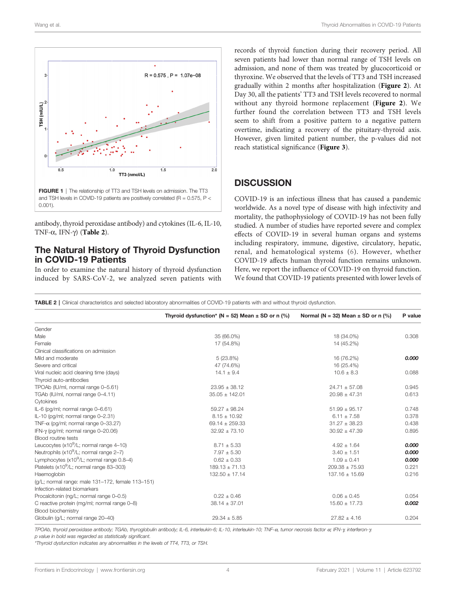<span id="page-3-0"></span>

antibody, thyroid peroxidase antibody) and cytokines (IL-6, IL-10, TNF- $\alpha$ , IFN- $\gamma$ ) (Table 2).

#### The Natural History of Thyroid Dysfunction in COVID-19 Patients

In order to examine the natural history of thyroid dysfunction induced by SARS-CoV-2, we analyzed seven patients with records of thyroid function during their recovery period. All seven patients had lower than normal range of TSH levels on admission, and none of them was treated by glucocorticoid or thyroxine. We observed that the levels of TT3 and TSH increased gradually within 2 months after hospitalization ([Figure 2](#page-4-0)). At Day 30, all the patients' TT3 and TSH levels recovered to normal without any thyroid hormone replacement ([Figure 2](#page-4-0)). We further found the correlation between TT3 and TSH levels seem to shift from a positive pattern to a negative pattern overtime, indicating a recovery of the pituitary-thyroid axis. However, given limited patient number, the p-values did not reach statistical significance ([Figure 3](#page-4-0)).

## **DISCUSSION**

COVID-19 is an infectious illness that has caused a pandemic worldwide. As a novel type of disease with high infectivity and mortality, the pathophysiology of COVID-19 has not been fully studied. A number of studies have reported severe and complex effects of COVID-19 in several human organs and systems including respiratory, immune, digestive, circulatory, hepatic, renal, and hematological systems ([6](#page-6-0)). However, whether COVID-19 affects human thyroid function remains unknown. Here, we report the influence of COVID-19 on thyroid function. We found that COVID-19 patients presented with lower levels of

TABLE 2 | Clinical characteristics and selected laboratory abnormalities of COVID-19 patients with and without thyroid dysfunction.

|                                                       | Thyroid dysfunction* (N = 52) Mean $\pm$ SD or n (%) | Normal ( $N = 32$ ) Mean $\pm$ SD or n (%) | P value |
|-------------------------------------------------------|------------------------------------------------------|--------------------------------------------|---------|
| Gender                                                |                                                      |                                            |         |
| Male                                                  | 35 (66.0%)                                           | 18 (34.0%)                                 | 0.308   |
| Female                                                | 17 (54.8%)                                           | 14 (45.2%)                                 |         |
| Clinical classifications on admission                 |                                                      |                                            |         |
| Mild and moderate                                     | 5(23.8%)                                             | 16 (76.2%)                                 | 0.000   |
| Severe and critical                                   | 47 (74.6%)                                           | 16 (25.4%)                                 |         |
| Viral nucleic acid cleaning time (days)               | $14.1 \pm 9.4$                                       | $10.6 \pm 8.3$                             | 0.088   |
| Thyroid auto-antibodies                               |                                                      |                                            |         |
| TPOAb (IU/ml, normal range 0-5.61)                    | $23.95 \pm 38.12$                                    | $24.71 \pm 57.08$                          | 0.945   |
| TGAb (IU/ml, normal range 0-4.11)                     | $35.05 \pm 142.01$                                   | $20.98 \pm 47.31$                          | 0.613   |
| Cytokines                                             |                                                      |                                            |         |
| IL-6 (pg/ml; normal range 0-6.61)                     | $59.27 \pm 98.24$                                    | $51.99 \pm 95.17$                          | 0.748   |
| IL-10 (pg/ml; normal range 0-2.31)                    | $8.15 \pm 10.92$                                     | $6.11 \pm 7.58$                            | 0.378   |
| TNF- $\alpha$ (pq/ml; normal range 0-33.27)           | $69.14 \pm 259.33$                                   | $31.27 \pm 38.23$                          | 0.438   |
| IFN- $\gamma$ (pg/ml; normal range 0-20.06)           | $32.92 \pm 73.10$                                    | $30.92 \pm 47.39$                          | 0.895   |
| <b>Blood routine tests</b>                            |                                                      |                                            |         |
| Leucocytes $(x10^9/L;$ normal range 4-10)             | $8.71 \pm 5.33$                                      | $4.92 \pm 1.64$                            | 0.000   |
| Neutrophils (x10 <sup>9</sup> /L; normal range 2-7)   | $7.97 \pm 5.30$                                      | $3.40 \pm 1.51$                            | 0.000   |
| Lymphocytes (x10 <sup>9</sup> /L; normal range 0.8-4) | $0.62 \pm 0.33$                                      | $1.09 \pm 0.41$                            | 0.000   |
| Platelets (x10 <sup>9</sup> /L; normal range 83-303)  | $189.13 \pm 71.13$                                   | $209.38 \pm 75.93$                         | 0.221   |
| Haemoglobin                                           | $132.50 \pm 17.14$                                   | $137.16 \pm 15.69$                         | 0.216   |
| (g/L; normal range: male 131-172, female 113-151)     |                                                      |                                            |         |
| Infection-related biomarkers                          |                                                      |                                            |         |
| Procalcitonin (ng/L; normal range 0-0.5)              | $0.22 \pm 0.46$                                      | $0.06 \pm 0.45$                            | 0.054   |
| C reactive protein (mg/ml; normal range 0-8)          | $38.14 \pm 37.01$                                    | $15.60 \pm 17.73$                          | 0.002   |
| Blood biochemistry                                    |                                                      |                                            |         |
| Globulin (q/L; normal range 20-40)                    | $29.34 \pm 5.85$                                     | $27.82 \pm 4.16$                           | 0.204   |

TPOAb, thyroid peroxidase antibody; TGAb, thyroglobulin antibody; IL-6, interleukin-6; IL-10, interleukin-10; TNF-a, tumor necrosis factor a; IFN-g, interferon-g.

p value in bold was regarded as statistically significant.

\*Thyroid dysfunction indicates any abnormalities in the levels of TT4, TT3, or TSH.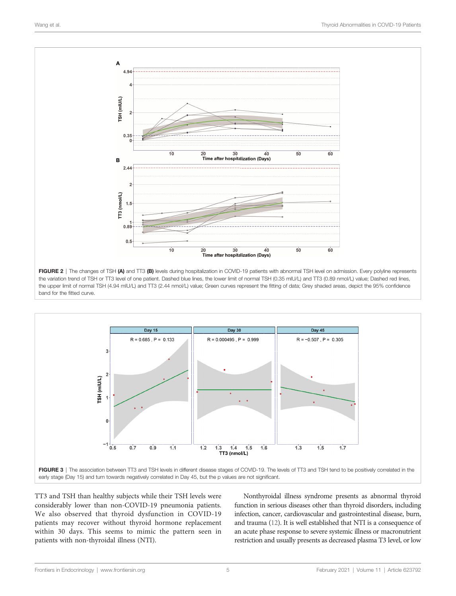<span id="page-4-0"></span>

FIGURE 2 | The changes of TSH (A) and TT3 (B) levels during hospitalization in COVID-19 patients with abnormal TSH level on admission. Every polyline represents the variation trend of TSH or TT3 level of one patient. Dashed blue lines, the lower limit of normal TSH (0.35 mIU/L) and TT3 (0.89 nmol/L) value; Dashed red lines, the upper limit of normal TSH (4.94 mIU/L) and TT3 (2.44 nmol/L) value; Green curves represent the fitting of data; Grey shaded areas, depict the 95% confidence band for the fitted curve.



TT3 and TSH than healthy subjects while their TSH levels were considerably lower than non-COVID-19 pneumonia patients. We also observed that thyroid dysfunction in COVID-19 patients may recover without thyroid hormone replacement within 30 days. This seems to mimic the pattern seen in patients with non-thyroidal illness (NTI).

Nonthyroidal illness syndrome presents as abnormal thyroid function in serious diseases other than thyroid disorders, including infection, cancer, cardiovascular and gastrointestinal disease, burn, and trauma [\(12\)](#page-6-0). It is well established that NTI is a consequence of an acute phase response to severe systemic illness or macronutrient restriction and usually presents as decreased plasma T3 level, or low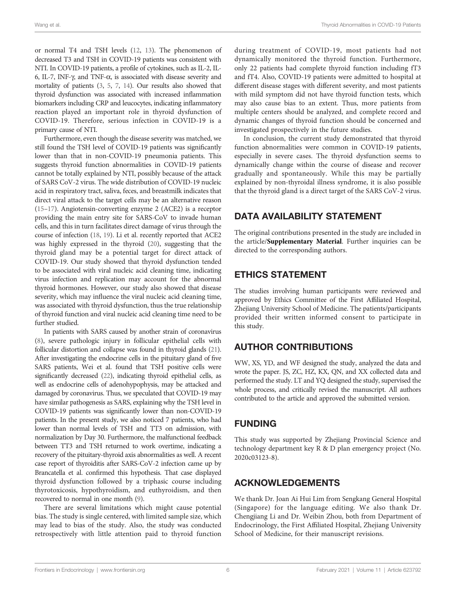or normal T4 and TSH levels ([12](#page-6-0), [13](#page-6-0)). The phenomenon of decreased T3 and TSH in COVID-19 patients was consistent with NTI. In COVID-19 patients, a profile of cytokines, such as IL-2, IL-6, IL-7, INF- $\gamma$ , and TNF- $\alpha$ , is associated with disease severity and mortality of patients ([3,](#page-6-0) [5](#page-6-0), [7,](#page-6-0) [14\)](#page-6-0). Our results also showed that thyroid dysfunction was associated with increased inflammation biomarkers including CRP and leucocytes, indicating inflammatory reaction played an important role in thyroid dysfunction of COVID-19. Therefore, serious infection in COVID-19 is a primary cause of NTI.

Furthermore, even though the disease severity was matched, we still found the TSH level of COVID-19 patients was significantly lower than that in non-COVID-19 pneumonia patients. This suggests thyroid function abnormalities in COVID-19 patients cannot be totally explained by NTI, possibly because of the attack of SARS CoV-2 virus. The wide distribution of COVID-19 nucleic acid in respiratory tract, saliva, feces, and breastmilk indicates that direct viral attack to the target cells may be an alternative reason ([15](#page-6-0)–[17](#page-6-0)). Angiotensin-converting enzyme 2 (ACE2) is a receptor providing the main entry site for SARS-CoV to invade human cells, and this in turn facilitates direct damage of virus through the course of infection [\(18,](#page-6-0) [19\)](#page-6-0). Li et al. recently reported that ACE2 was highly expressed in the thyroid [\(20\)](#page-6-0), suggesting that the thyroid gland may be a potential target for direct attack of COVID-19. Our study showed that thyroid dysfunction tended to be associated with viral nucleic acid cleaning time, indicating virus infection and replication may account for the abnormal thyroid hormones. However, our study also showed that disease severity, which may influence the viral nucleic acid cleaning time, was associated with thyroid dysfunction, thus the true relationship of thyroid function and viral nucleic acid cleaning time need to be further studied.

In patients with SARS caused by another strain of coronavirus ([8](#page-6-0)), severe pathologic injury in follicular epithelial cells with follicular distortion and collapse was found in thyroid glands [\(21\)](#page-6-0). After investigating the endocrine cells in the pituitary gland of five SARS patients, Wei et al. found that TSH positive cells were significantly decreased [\(22\)](#page-6-0), indicating thyroid epithelial cells, as well as endocrine cells of adenohypophysis, may be attacked and damaged by coronavirus. Thus, we speculated that COVID-19 may have similar pathogenesis as SARS, explaining why the TSH level in COVID-19 patients was significantly lower than non-COVID-19 patients. In the present study, we also noticed 7 patients, who had lower than normal levels of TSH and TT3 on admission, with normalization by Day 30. Furthermore, the malfunctional feedback between TT3 and TSH returned to work overtime, indicating a recovery of the pituitary-thyroid axis abnormalities as well. A recent case report of thyroiditis after SARS-CoV-2 infection came up by Brancatella et al. confirmed this hypothesis. That case displayed thyroid dysfunction followed by a triphasic course including thyrotoxicosis, hypothyroidism, and euthyroidism, and then recovered to normal in one month [\(9\)](#page-6-0).

There are several limitations which might cause potential bias. The study is single centered, with limited sample size, which may lead to bias of the study. Also, the study was conducted retrospectively with little attention paid to thyroid function during treatment of COVID-19, most patients had not dynamically monitored the thyroid function. Furthermore, only 22 patients had complete thyroid function including fT3 and fT4. Also, COVID-19 patients were admitted to hospital at different disease stages with different severity, and most patients with mild symptom did not have thyroid function tests, which may also cause bias to an extent. Thus, more patients from multiple centers should be analyzed, and complete record and dynamic changes of thyroid function should be concerned and investigated prospectively in the future studies.

In conclusion, the current study demonstrated that thyroid function abnormalities were common in COVID-19 patients, especially in severe cases. The thyroid dysfunction seems to dynamically change within the course of disease and recover gradually and spontaneously. While this may be partially explained by non-thyroidal illness syndrome, it is also possible that the thyroid gland is a direct target of the SARS CoV-2 virus.

# DATA AVAILABILITY STATEMENT

The original contributions presented in the study are included in the article/Supplementary Material. Further inquiries can be directed to the corresponding authors.

# ETHICS STATEMENT

The studies involving human participants were reviewed and approved by Ethics Committee of the First Affiliated Hospital, Zhejiang University School of Medicine. The patients/participants provided their written informed consent to participate in this study.

# AUTHOR CONTRIBUTIONS

WW, XS, YD, and WF designed the study, analyzed the data and wrote the paper. JS, ZC, HZ, KX, QN, and XX collected data and performed the study. LT and YQ designed the study, supervised the whole process, and critically revised the manuscript. All authors contributed to the article and approved the submitted version.

# FUNDING

This study was supported by Zhejiang Provincial Science and technology department key R & D plan emergency project (No. 2020c03123-8).

# ACKNOWLEDGEMENTS

We thank Dr. Joan Ai Hui Lim from Sengkang General Hospital (Singapore) for the language editing. We also thank Dr. Chengjiang Li and Dr. Weibin Zhou, both from Department of Endocrinology, the First Affiliated Hospital, Zhejiang University School of Medicine, for their manuscript revisions.